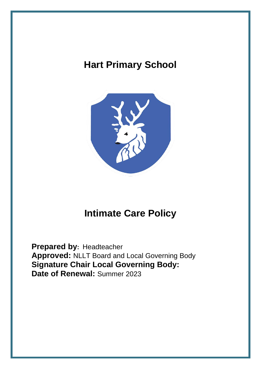# **Hart Primary School**



# **Intimate Care Policy**

**Prepared by:** Headteacher **Approved:** NLLT Board and Local Governing Body **Signature Chair Local Governing Body: Date of Renewal:** Summer 2023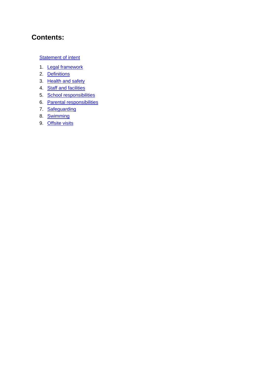# **Contents:**

#### **[Statement of intent](#page-2-0)**

- 1. [Legal framework](#page-2-1)
- 2. [Definitions](#page-2-2)
- 3. [Health and safety](#page-3-0)
- 4. **[Staff and facilities](#page-3-1)**
- 5. [School responsibilities](#page-4-0)
- 6. [Parental responsibilities](#page-5-0)
- 7. [Safeguarding](#page-5-1)
- 8. [Swimming](#page-6-0)
- 9. [Offsite visits](#page-6-1)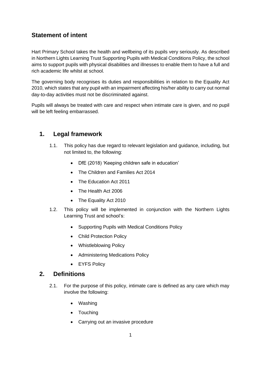## <span id="page-2-0"></span>**Statement of intent**

Hart Primary School takes the health and wellbeing of its pupils very seriously. As described in Northern Lights Learning Trust Supporting Pupils with Medical Conditions Policy, the school aims to support pupils with physical disabilities and illnesses to enable them to have a full and rich academic life whilst at school.

The governing body recognises its duties and responsibilities in relation to the Equality Act 2010, which states that any pupil with an impairment affecting his/her ability to carry out normal day-to-day activities must not be discriminated against.

Pupils will always be treated with care and respect when intimate care is given, and no pupil will be left feeling embarrassed.

### <span id="page-2-1"></span>**1. Legal framework**

- 1.1. This policy has due regard to relevant legislation and guidance, including, but not limited to, the following:
	- DfE (2018) 'Keeping children safe in education'
	- The Children and Families Act 2014
	- The Education Act 2011
	- The Health Act 2006
	- The Equality Act 2010
- 1.2. This policy will be implemented in conjunction with the Northern Lights Learning Trust and school's:
	- Supporting Pupils with Medical Conditions Policy
	- Child Protection Policy
	- Whistleblowing Policy
	- Administering Medications Policy
	- EYFS Policy

#### <span id="page-2-2"></span>**2. Definitions**

- 2.1. For the purpose of this policy, intimate care is defined as any care which may involve the following:
	- Washing
	- Touching
	- Carrying out an invasive procedure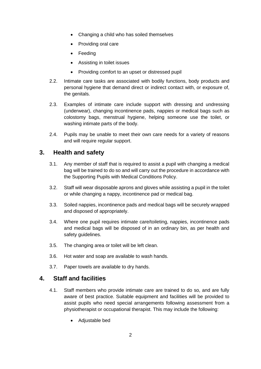- Changing a child who has soiled themselves
- Providing oral care
- Feeding
- Assisting in toilet issues
- Providing comfort to an upset or distressed pupil
- 2.2. Intimate care tasks are associated with bodily functions, body products and personal hygiene that demand direct or indirect contact with, or exposure of, the genitals.
- 2.3. Examples of intimate care include support with dressing and undressing (underwear), changing incontinence pads, nappies or medical bags such as colostomy bags, menstrual hygiene, helping someone use the toilet, or washing intimate parts of the body.
- 2.4. Pupils may be unable to meet their own care needs for a variety of reasons and will require regular support.

#### <span id="page-3-0"></span>**3. Health and safety**

- 3.1. Any member of staff that is required to assist a pupil with changing a medical bag will be trained to do so and will carry out the procedure in accordance with the Supporting Pupils with Medical Conditions Policy.
- 3.2. Staff will wear disposable aprons and gloves while assisting a pupil in the toilet or while changing a nappy, incontinence pad or medical bag.
- 3.3. Soiled nappies, incontinence pads and medical bags will be securely wrapped and disposed of appropriately.
- 3.4. Where one pupil requires intimate care/toileting, nappies, incontinence pads and medical bags will be disposed of in an ordinary bin, as per health and safety guidelines.
- 3.5. The changing area or toilet will be left clean.
- 3.6. Hot water and soap are available to wash hands.
- 3.7. Paper towels are available to dry hands.

#### <span id="page-3-1"></span>**4. Staff and facilities**

- 4.1. Staff members who provide intimate care are trained to do so, and are fully aware of best practice. Suitable equipment and facilities will be provided to assist pupils who need special arrangements following assessment from a physiotherapist or occupational therapist. This may include the following:
	- Adjustable bed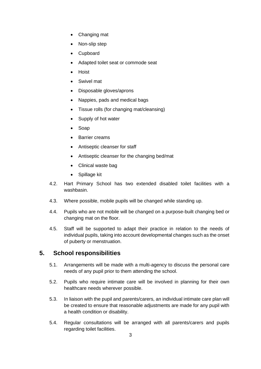- Changing mat
- Non-slip step
- Cupboard
- Adapted toilet seat or commode seat
- Hoist
- Swivel mat
- Disposable gloves/aprons
- Nappies, pads and medical bags
- Tissue rolls (for changing mat/cleansing)
- Supply of hot water
- Soap
- Barrier creams
- Antiseptic cleanser for staff
- Antiseptic cleanser for the changing bed/mat
- Clinical waste bag
- Spillage kit
- 4.2. Hart Primary School has two extended disabled toilet facilities with a washbasin.
- 4.3. Where possible, mobile pupils will be changed while standing up.
- 4.4. Pupils who are not mobile will be changed on a purpose-built changing bed or changing mat on the floor.
- 4.5. Staff will be supported to adapt their practice in relation to the needs of individual pupils, taking into account developmental changes such as the onset of puberty or menstruation.

### <span id="page-4-0"></span>**5. School responsibilities**

- 5.1. Arrangements will be made with a multi-agency to discuss the personal care needs of any pupil prior to them attending the school.
- 5.2. Pupils who require intimate care will be involved in planning for their own healthcare needs wherever possible.
- 5.3. In liaison with the pupil and parents/carers, an individual intimate care plan will be created to ensure that reasonable adjustments are made for any pupil with a health condition or disability.
- 5.4. Regular consultations will be arranged with all parents/carers and pupils regarding toilet facilities.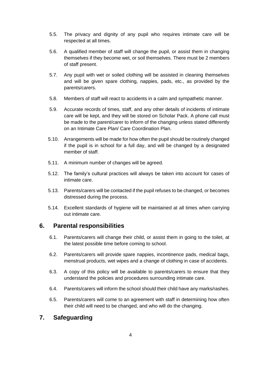- 5.5. The privacy and dignity of any pupil who requires intimate care will be respected at all times.
- 5.6. A qualified member of staff will change the pupil, or assist them in changing themselves if they become wet, or soil themselves. There must be 2 members of staff present.
- 5.7. Any pupil with wet or soiled clothing will be assisted in cleaning themselves and will be given spare clothing, nappies, pads, etc., as provided by the parents/carers.
- 5.8. Members of staff will react to accidents in a calm and sympathetic manner.
- 5.9. Accurate records of times, staff, and any other details of incidents of intimate care will be kept, and they will be stored on Scholar Pack. A phone call must be made to the parent/carer to inform of the changing unless stated differently on an Intimate Care Plan/ Care Coordination Plan.
- 5.10. Arrangements will be made for how often the pupil should be routinely changed if the pupil is in school for a full day, and will be changed by a designated member of staff.
- 5.11. A minimum number of changes will be agreed.
- 5.12. The family's cultural practices will always be taken into account for cases of intimate care.
- 5.13. Parents/carers will be contacted if the pupil refuses to be changed, or becomes distressed during the process.
- 5.14. Excellent standards of hygiene will be maintained at all times when carrying out intimate care.

#### <span id="page-5-0"></span>**6. Parental responsibilities**

- 6.1. Parents/carers will change their child, or assist them in going to the toilet, at the latest possible time before coming to school.
- 6.2. Parents/carers will provide spare nappies, incontinence pads, medical bags, menstrual products, wet wipes and a change of clothing in case of accidents.
- 6.3. A copy of this policy will be available to parents/carers to ensure that they understand the policies and procedures surrounding intimate care.
- 6.4. Parents/carers will inform the school should their child have any marks/rashes.
- 6.5. Parents/carers will come to an agreement with staff in determining how often their child will need to be changed, and who will do the changing.

#### <span id="page-5-1"></span>**7. Safeguarding**